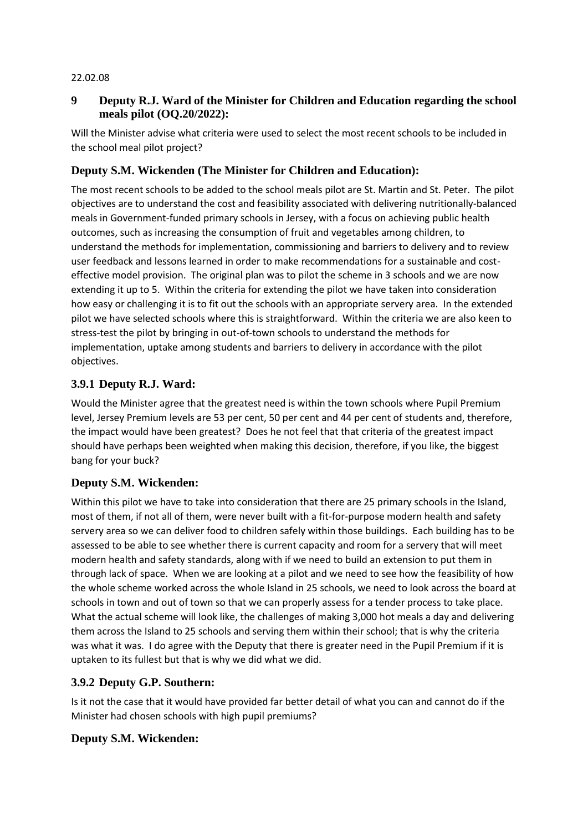#### 22.02.08

## **9 Deputy R.J. Ward of the Minister for Children and Education regarding the school meals pilot (OQ.20/2022):**

Will the Minister advise what criteria were used to select the most recent schools to be included in the school meal pilot project?

## **Deputy S.M. Wickenden (The Minister for Children and Education):**

The most recent schools to be added to the school meals pilot are St. Martin and St. Peter. The pilot objectives are to understand the cost and feasibility associated with delivering nutritionally-balanced meals in Government-funded primary schools in Jersey, with a focus on achieving public health outcomes, such as increasing the consumption of fruit and vegetables among children, to understand the methods for implementation, commissioning and barriers to delivery and to review user feedback and lessons learned in order to make recommendations for a sustainable and costeffective model provision. The original plan was to pilot the scheme in 3 schools and we are now extending it up to 5. Within the criteria for extending the pilot we have taken into consideration how easy or challenging it is to fit out the schools with an appropriate servery area. In the extended pilot we have selected schools where this is straightforward. Within the criteria we are also keen to stress-test the pilot by bringing in out-of-town schools to understand the methods for implementation, uptake among students and barriers to delivery in accordance with the pilot objectives.

## **3.9.1 Deputy R.J. Ward:**

Would the Minister agree that the greatest need is within the town schools where Pupil Premium level, Jersey Premium levels are 53 per cent, 50 per cent and 44 per cent of students and, therefore, the impact would have been greatest? Does he not feel that that criteria of the greatest impact should have perhaps been weighted when making this decision, therefore, if you like, the biggest bang for your buck?

## **Deputy S.M. Wickenden:**

Within this pilot we have to take into consideration that there are 25 primary schools in the Island, most of them, if not all of them, were never built with a fit-for-purpose modern health and safety servery area so we can deliver food to children safely within those buildings. Each building has to be assessed to be able to see whether there is current capacity and room for a servery that will meet modern health and safety standards, along with if we need to build an extension to put them in through lack of space. When we are looking at a pilot and we need to see how the feasibility of how the whole scheme worked across the whole Island in 25 schools, we need to look across the board at schools in town and out of town so that we can properly assess for a tender process to take place. What the actual scheme will look like, the challenges of making 3,000 hot meals a day and delivering them across the Island to 25 schools and serving them within their school; that is why the criteria was what it was. I do agree with the Deputy that there is greater need in the Pupil Premium if it is uptaken to its fullest but that is why we did what we did.

## **3.9.2 Deputy G.P. Southern:**

Is it not the case that it would have provided far better detail of what you can and cannot do if the Minister had chosen schools with high pupil premiums?

## **Deputy S.M. Wickenden:**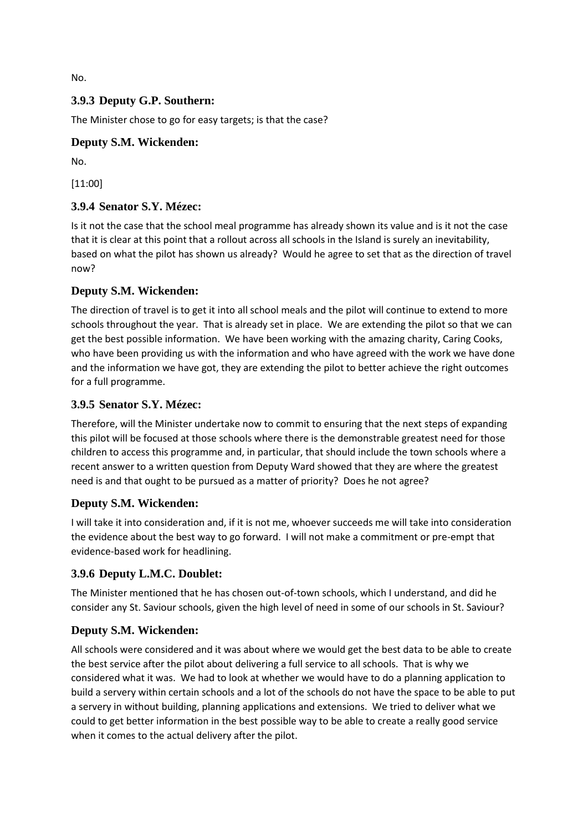No.

## **3.9.3 Deputy G.P. Southern:**

The Minister chose to go for easy targets; is that the case?

## **Deputy S.M. Wickenden:**

No.

[11:00]

## **3.9.4 Senator S.Y. Mézec:**

Is it not the case that the school meal programme has already shown its value and is it not the case that it is clear at this point that a rollout across all schools in the Island is surely an inevitability, based on what the pilot has shown us already? Would he agree to set that as the direction of travel now?

#### **Deputy S.M. Wickenden:**

The direction of travel is to get it into all school meals and the pilot will continue to extend to more schools throughout the year. That is already set in place. We are extending the pilot so that we can get the best possible information. We have been working with the amazing charity, Caring Cooks, who have been providing us with the information and who have agreed with the work we have done and the information we have got, they are extending the pilot to better achieve the right outcomes for a full programme.

#### **3.9.5 Senator S.Y. Mézec:**

Therefore, will the Minister undertake now to commit to ensuring that the next steps of expanding this pilot will be focused at those schools where there is the demonstrable greatest need for those children to access this programme and, in particular, that should include the town schools where a recent answer to a written question from Deputy Ward showed that they are where the greatest need is and that ought to be pursued as a matter of priority? Does he not agree?

## **Deputy S.M. Wickenden:**

I will take it into consideration and, if it is not me, whoever succeeds me will take into consideration the evidence about the best way to go forward. I will not make a commitment or pre-empt that evidence-based work for headlining.

## **3.9.6 Deputy L.M.C. Doublet:**

The Minister mentioned that he has chosen out-of-town schools, which I understand, and did he consider any St. Saviour schools, given the high level of need in some of our schools in St. Saviour?

## **Deputy S.M. Wickenden:**

All schools were considered and it was about where we would get the best data to be able to create the best service after the pilot about delivering a full service to all schools. That is why we considered what it was. We had to look at whether we would have to do a planning application to build a servery within certain schools and a lot of the schools do not have the space to be able to put a servery in without building, planning applications and extensions. We tried to deliver what we could to get better information in the best possible way to be able to create a really good service when it comes to the actual delivery after the pilot.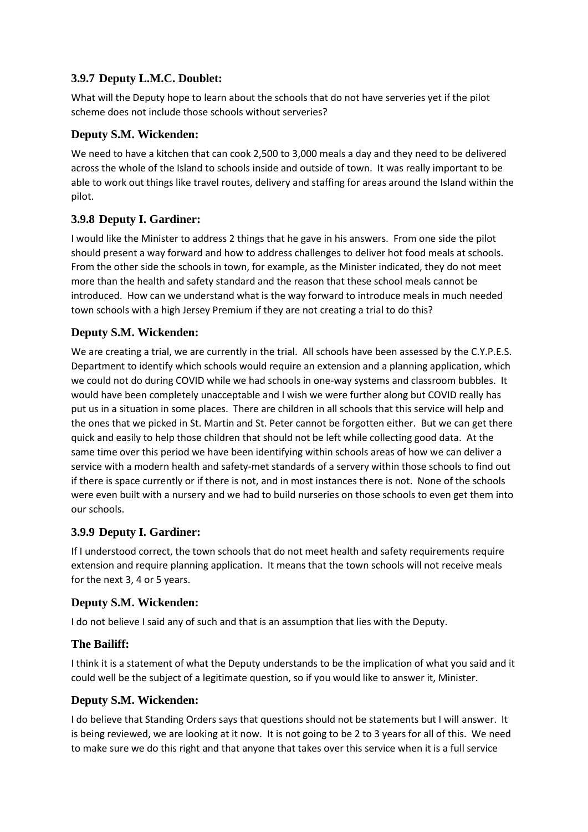## **3.9.7 Deputy L.M.C. Doublet:**

What will the Deputy hope to learn about the schools that do not have serveries yet if the pilot scheme does not include those schools without serveries?

## **Deputy S.M. Wickenden:**

We need to have a kitchen that can cook 2,500 to 3,000 meals a day and they need to be delivered across the whole of the Island to schools inside and outside of town. It was really important to be able to work out things like travel routes, delivery and staffing for areas around the Island within the pilot.

# **3.9.8 Deputy I. Gardiner:**

I would like the Minister to address 2 things that he gave in his answers. From one side the pilot should present a way forward and how to address challenges to deliver hot food meals at schools. From the other side the schools in town, for example, as the Minister indicated, they do not meet more than the health and safety standard and the reason that these school meals cannot be introduced. How can we understand what is the way forward to introduce meals in much needed town schools with a high Jersey Premium if they are not creating a trial to do this?

## **Deputy S.M. Wickenden:**

We are creating a trial, we are currently in the trial. All schools have been assessed by the C.Y.P.E.S. Department to identify which schools would require an extension and a planning application, which we could not do during COVID while we had schools in one-way systems and classroom bubbles. It would have been completely unacceptable and I wish we were further along but COVID really has put us in a situation in some places. There are children in all schools that this service will help and the ones that we picked in St. Martin and St. Peter cannot be forgotten either. But we can get there quick and easily to help those children that should not be left while collecting good data. At the same time over this period we have been identifying within schools areas of how we can deliver a service with a modern health and safety-met standards of a servery within those schools to find out if there is space currently or if there is not, and in most instances there is not. None of the schools were even built with a nursery and we had to build nurseries on those schools to even get them into our schools.

# **3.9.9 Deputy I. Gardiner:**

If I understood correct, the town schools that do not meet health and safety requirements require extension and require planning application. It means that the town schools will not receive meals for the next 3, 4 or 5 years.

## **Deputy S.M. Wickenden:**

I do not believe I said any of such and that is an assumption that lies with the Deputy.

## **The Bailiff:**

I think it is a statement of what the Deputy understands to be the implication of what you said and it could well be the subject of a legitimate question, so if you would like to answer it, Minister.

## **Deputy S.M. Wickenden:**

I do believe that Standing Orders says that questions should not be statements but I will answer. It is being reviewed, we are looking at it now. It is not going to be 2 to 3 years for all of this. We need to make sure we do this right and that anyone that takes over this service when it is a full service